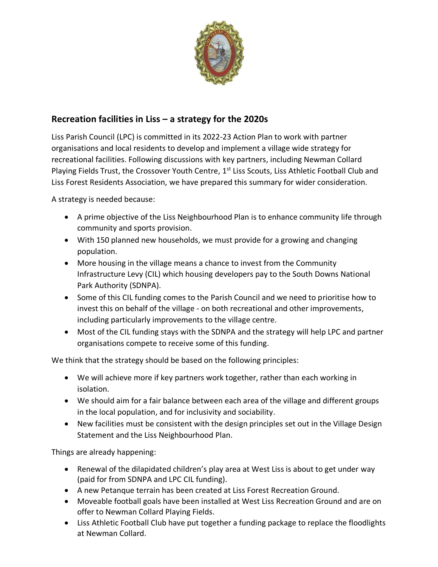

## **Recreation facilities in Liss – a strategy for the 2020s**

Liss Parish Council (LPC) is committed in its 2022-23 Action Plan to work with partner organisations and local residents to develop and implement a village wide strategy for recreational facilities. Following discussions with key partners, including Newman Collard Playing Fields Trust, the Crossover Youth Centre, 1<sup>st</sup> Liss Scouts, Liss Athletic Football Club and Liss Forest Residents Association, we have prepared this summary for wider consideration.

A strategy is needed because:

- A prime objective of the Liss Neighbourhood Plan is to enhance community life through community and sports provision.
- With 150 planned new households, we must provide for a growing and changing population.
- More housing in the village means a chance to invest from the Community Infrastructure Levy (CIL) which housing developers pay to the South Downs National Park Authority (SDNPA).
- Some of this CIL funding comes to the Parish Council and we need to prioritise how to invest this on behalf of the village - on both recreational and other improvements, including particularly improvements to the village centre.
- Most of the CIL funding stays with the SDNPA and the strategy will help LPC and partner organisations compete to receive some of this funding.

We think that the strategy should be based on the following principles:

- We will achieve more if key partners work together, rather than each working in isolation.
- We should aim for a fair balance between each area of the village and different groups in the local population, and for inclusivity and sociability.
- New facilities must be consistent with the design principles set out in the Village Design Statement and the Liss Neighbourhood Plan.

Things are already happening:

- Renewal of the dilapidated children's play area at West Liss is about to get under way (paid for from SDNPA and LPC CIL funding).
- A new Petanque terrain has been created at Liss Forest Recreation Ground.
- Moveable football goals have been installed at West Liss Recreation Ground and are on offer to Newman Collard Playing Fields.
- Liss Athletic Football Club have put together a funding package to replace the floodlights at Newman Collard.